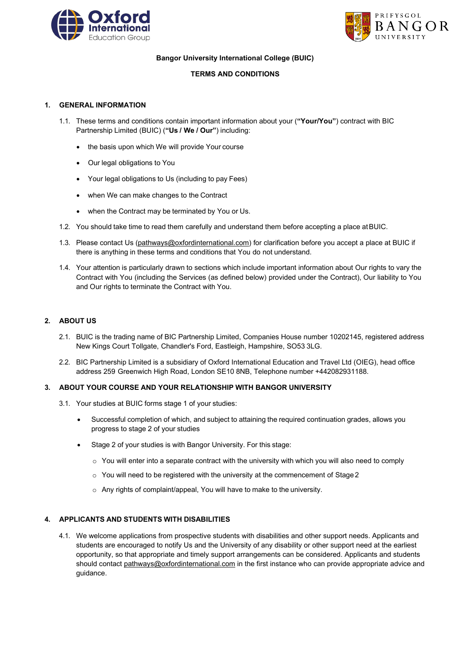



### **Bangor University International College (BUIC)**

### **TERMS AND CONDITIONS**

### **1. GENERAL INFORMATION**

- 1.1. These terms and conditions contain important information about your (**"Your/You"**) contract with BIC Partnership Limited (BUIC) (**"Us / We / Our"**) including:
	- the basis upon which We will provide Your course
	- Our legal obligations to You
	- Your legal obligations to Us (including to pay Fees)
	- when We can make changes to the Contract
	- when the Contract may be terminated by You or Us.
- 1.2. You should take time to read them carefully and understand them before accepting a place atBUIC.
- 1.3. Please contact Us [\(pathways@oxfordinternational.com\)](mailto:pathways@oxfordinternational.com) for clarification before you accept a place at BUIC if there is anything in these terms and conditions that You do not understand.
- 1.4. Your attention is particularly drawn to sections which include important information about Our rights to vary the Contract with You (including the Services (as defined below) provided under the Contract), Our liability to You and Our rights to terminate the Contract with You.

## **2. ABOUT US**

- 2.1. BUIC is the trading name of BIC Partnership Limited, Companies House number 10202145, registered address New Kings Court Tollgate, Chandler's Ford, Eastleigh, Hampshire, SO53 3LG.
- 2.2. BIC Partnership Limited is a subsidiary of Oxford International Education and Travel Ltd (OIEG), head office address 259 Greenwich High Road, London SE10 8NB, Telephone number +442082931188.

#### **3. ABOUT YOUR COURSE AND YOUR RELATIONSHIP WITH BANGOR UNIVERSITY**

- 3.1. Your studies at BUIC forms stage 1 of your studies:
	- Successful completion of which, and subject to attaining the required continuation grades, allows you progress to stage 2 of your studies
	- Stage 2 of your studies is with Bangor University. For this stage:
		- $\circ$  You will enter into a separate contract with the university with which you will also need to comply
		- o You will need to be registered with the university at the commencement of Stage 2
		- o Any rights of complaint/appeal, You will have to make to the university.

## **4. APPLICANTS AND STUDENTS WITH DISABILITIES**

4.1. We welcome applications from prospective students with disabilities and other support needs. Applicants and students are encouraged to notify Us and the University of any disability or other support need at the earliest opportunity, so that appropriate and timely support arrangements can be considered. Applicants and students should contact [pathways@oxfordinternational.com in](mailto:pathways@oxfordinternational.com) the first instance who can provide appropriate advice and guidance.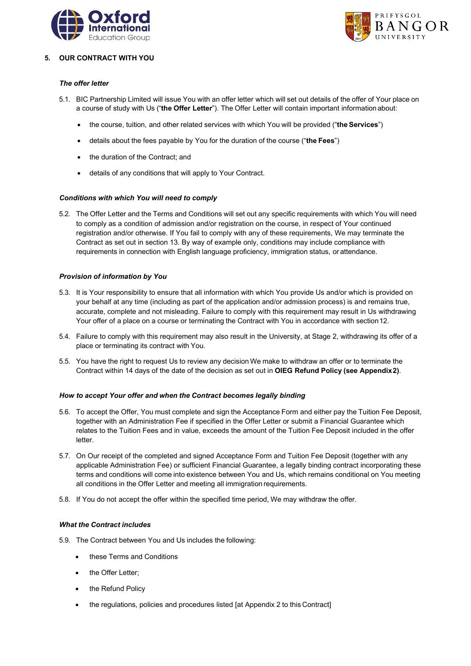



# **5. OUR CONTRACT WITH YOU**

## *The offer letter*

- 5.1. BIC Partnership Limited will issue You with an offer letter which will set out details of the offer of Your place on a course of study with Us ("**the Offer Letter**"). The Offer Letter will contain important informationabout:
	- the course, tuition, and other related services with which You will be provided ("**the Services**")
	- details about the fees payable by You for the duration of the course ("**the Fees**")
	- the duration of the Contract; and
	- details of any conditions that will apply to Your Contract.

### *Conditions with which You will need to comply*

5.2. The Offer Letter and the Terms and Conditions will set out any specific requirements with which You will need to comply as a condition of admission and/or registration on the course, in respect of Your continued registration and/or otherwise. If You fail to comply with any of these requirements, We may terminate the Contract as set out in section 13. By way of example only, conditions may include compliance with requirements in connection with English language proficiency, immigration status, or attendance.

### *Provision of information by You*

- 5.3. It is Your responsibility to ensure that all information with which You provide Us and/or which is provided on your behalf at any time (including as part of the application and/or admission process) is and remains true, accurate, complete and not misleading. Failure to comply with this requirement may result in Us withdrawing Your offer of a place on a course or terminating the Contract with You in accordance with section12.
- 5.4. Failure to comply with this requirement may also result in the University, at Stage 2, withdrawing its offer of a place or terminating its contract with You.
- 5.5. You have the right to request Us to review any decision We make to withdraw an offer or to terminate the Contract within 14 days of the date of the decision as set out in **OIEG Refund Policy (see Appendix2)**.

#### *How to accept Your offer and when the Contract becomes legally binding*

- 5.6. To accept the Offer, You must complete and sign the Acceptance Form and either pay the Tuition Fee Deposit, together with an Administration Fee if specified in the Offer Letter or submit a Financial Guarantee which relates to the Tuition Fees and in value, exceeds the amount of the Tuition Fee Deposit included in the offer letter.
- 5.7. On Our receipt of the completed and signed Acceptance Form and Tuition Fee Deposit (together with any applicable Administration Fee) or sufficient Financial Guarantee, a legally binding contract incorporating these terms and conditions will come into existence between You and Us, which remains conditional on You meeting all conditions in the Offer Letter and meeting all immigration requirements.
- 5.8. If You do not accept the offer within the specified time period, We may withdraw the offer.

### *What the Contract includes*

- 5.9. The Contract between You and Us includes the following:
	- these Terms and Conditions
	- the Offer Letter;
	- the Refund Policy
	- the regulations, policies and procedures listed [at Appendix 2 to this Contract]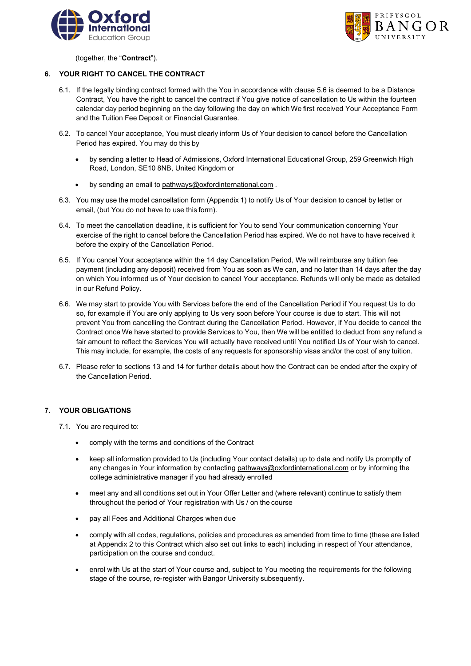



(together, the "**Contract**").

## **6. YOUR RIGHT TO CANCEL THE CONTRACT**

- 6.1. If the legally binding contract formed with the You in accordance with clause 5.6 is deemed to be a Distance Contract, You have the right to cancel the contract if You give notice of cancellation to Us within the fourteen calendar day period beginning on the day following the day on which We first received Your Acceptance Form and the Tuition Fee Deposit or Financial Guarantee.
- 6.2. To cancel Your acceptance, You must clearly inform Us of Your decision to cancel before the Cancellation Period has expired. You may do this by
	- by sending a letter to Head of Admissions, Oxford International Educational Group, 259 Greenwich High Road, London, SE10 8NB, United Kingdom or
	- by sending an email to pathways@oxfordinternational.com.
- 6.3. You may use the model cancellation form (Appendix 1) to notify Us of Your decision to cancel by letter or email, (but You do not have to use this form).
- 6.4. To meet the cancellation deadline, it is sufficient for You to send Your communication concerning Your exercise of the right to cancel before the Cancellation Period has expired. We do not have to have received it before the expiry of the Cancellation Period.
- 6.5. If You cancel Your acceptance within the 14 day Cancellation Period, We will reimburse any tuition fee payment (including any deposit) received from You as soon as We can, and no later than 14 days after the day on which You informed us of Your decision to cancel Your acceptance. Refunds will only be made as detailed in our Refund Policy.
- 6.6. We may start to provide You with Services before the end of the Cancellation Period if You request Us to do so, for example if You are only applying to Us very soon before Your course is due to start. This will not prevent You from cancelling the Contract during the Cancellation Period. However, if You decide to cancel the Contract once We have started to provide Services to You, then We will be entitled to deduct from any refund a fair amount to reflect the Services You will actually have received until You notified Us of Your wish to cancel. This may include, for example, the costs of any requests for sponsorship visas and/or the cost of any tuition.
- 6.7. Please refer to sections 13 and 14 for further details about how the Contract can be ended after the expiry of the Cancellation Period.

## **7. YOUR OBLIGATIONS**

- 7.1. You are required to:
	- comply with the terms and conditions of the Contract
	- keep all information provided to Us (including Your contact details) up to date and notify Us promptly of any changes in Your information by contactin[g pathways@oxfordinternational.com](mailto:pathways@oxfordinternational.com) or by informing the college administrative manager if you had already enrolled
	- meet any and all conditions set out in Your Offer Letter and (where relevant) continue to satisfy them throughout the period of Your registration with Us / on the course
	- pay all Fees and Additional Charges when due
	- comply with all codes, regulations, policies and procedures as amended from time to time (these are listed at Appendix 2 to this Contract which also set out links to each) including in respect of Your attendance, participation on the course and conduct.
	- enrol with Us at the start of Your course and, subject to You meeting the requirements for the following stage of the course, re-register with Bangor University subsequently.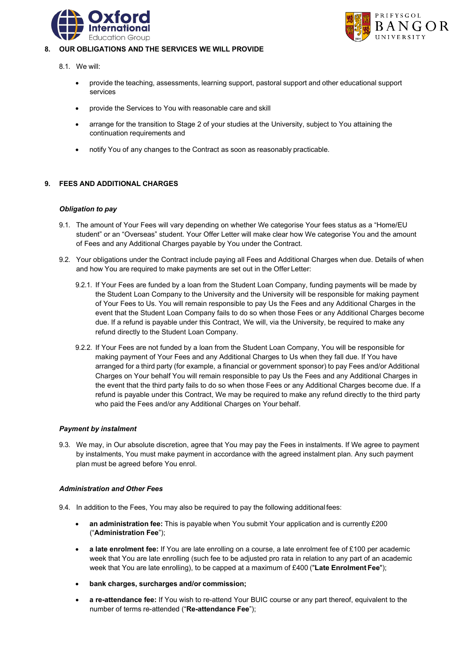



## **8. OUR OBLIGATIONS AND THE SERVICES WE WILL PROVIDE**

## 8.1. We will:

- provide the teaching, assessments, learning support, pastoral support and other educational support services
- provide the Services to You with reasonable care and skill
- arrange for the transition to Stage 2 of your studies at the University, subject to You attaining the continuation requirements and
- notify You of any changes to the Contract as soon as reasonably practicable.

## **9. FEES AND ADDITIONAL CHARGES**

#### *Obligation to pay*

- 9.1. The amount of Your Fees will vary depending on whether We categorise Your fees status as a "Home/EU student" or an "Overseas" student. Your Offer Letter will make clear how We categorise You and the amount of Fees and any Additional Charges payable by You under the Contract.
- 9.2. Your obligations under the Contract include paying all Fees and Additional Charges when due. Details of when and how You are required to make payments are set out in the Offer Letter:
	- 9.2.1. If Your Fees are funded by a loan from the Student Loan Company, funding payments will be made by the Student Loan Company to the University and the University will be responsible for making payment of Your Fees to Us. You will remain responsible to pay Us the Fees and any Additional Charges in the event that the Student Loan Company fails to do so when those Fees or any Additional Charges become due. If a refund is payable under this Contract, We will, via the University, be required to make any refund directly to the Student Loan Company.
	- 9.2.2. If Your Fees are not funded by a loan from the Student Loan Company, You will be responsible for making payment of Your Fees and any Additional Charges to Us when they fall due. If You have arranged for a third party (for example, a financial or government sponsor) to pay Fees and/or Additional Charges on Your behalf You will remain responsible to pay Us the Fees and any Additional Charges in the event that the third party fails to do so when those Fees or any Additional Charges become due. If a refund is payable under this Contract, We may be required to make any refund directly to the third party who paid the Fees and/or any Additional Charges on Your behalf.

#### *Payment by instalment*

9.3. We may, in Our absolute discretion, agree that You may pay the Fees in instalments. If We agree to payment by instalments, You must make payment in accordance with the agreed instalment plan. Any such payment plan must be agreed before You enrol.

#### *Administration and Other Fees*

- 9.4. In addition to the Fees, You may also be required to pay the following additional fees:
	- **an administration fee:** This is payable when You submit Your application and is currently £200 ("**Administration Fee**");
	- **a late enrolment fee:** If You are late enrolling on a course, a late enrolment fee of £100 per academic week that You are late enrolling (such fee to be adjusted pro rata in relation to any part of an academic week that You are late enrolling), to be capped at a maximum of £400 ("**Late Enrolment Fee**");
	- **bank charges, surcharges and/or commission;**
	- **a re-attendance fee:** If You wish to re-attend Your BUIC course or any part thereof, equivalent to the number of terms re-attended ("**Re-attendance Fee**");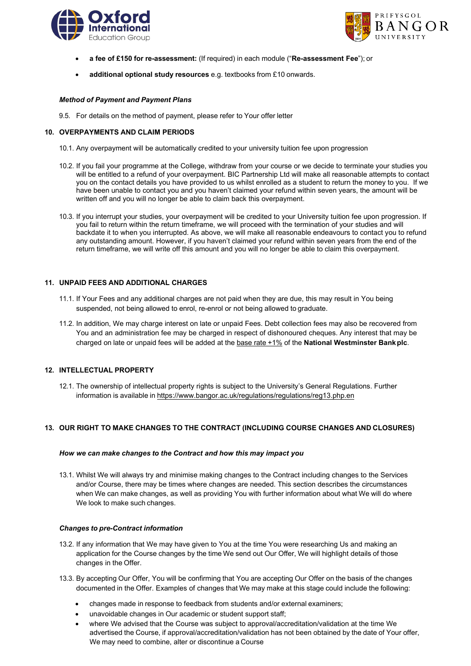



- **a fee of £150 for re-assessment:** (If required) in each module ("**Re-assessment Fee**"); or
- **additional optional study resources** e.g. textbooks from £10 onwards.

#### *Method of Payment and Payment Plans*

9.5. For details on the method of payment, please refer to Your offer letter

#### **10. OVERPAYMENTS AND CLAIM PERIODS**

- 10.1. Any overpayment will be automatically credited to your university tuition fee upon progression
- 10.2. If you fail your programme at the College, withdraw from your course or we decide to terminate your studies you will be entitled to a refund of your overpayment. BIC Partnership Ltd will make all reasonable attempts to contact you on the contact details you have provided to us whilst enrolled as a student to return the money to you. If we have been unable to contact you and you haven't claimed your refund within seven years, the amount will be written off and you will no longer be able to claim back this overpayment.
- 10.3. If you interrupt your studies, your overpayment will be credited to your University tuition fee upon progression. If you fail to return within the return timeframe, we will proceed with the termination of your studies and will backdate it to when you interrupted. As above, we will make all reasonable endeavours to contact you to refund any outstanding amount. However, if you haven't claimed your refund within seven years from the end of the return timeframe, we will write off this amount and you will no longer be able to claim this overpayment.

### **11. UNPAID FEES AND ADDITIONAL CHARGES**

- 11.1. If Your Fees and any additional charges are not paid when they are due, this may result in You being suspended, not being allowed to enrol, re-enrol or not being allowed to graduate.
- 11.2. In addition, We may charge interest on late or unpaid Fees. Debt collection fees may also be recovered from You and an administration fee may be charged in respect of dishonoured cheques. Any interest that may be charged on late or unpaid fees will be added at the base rate +1% of the **National Westminster Bankplc**.

#### **12. INTELLECTUAL PROPERTY**

12.1. The ownership of intellectual property rights is subject to the University's General Regulations. Further information is available in <https://www.bangor.ac.uk/regulations/regulations/reg13.php.en>

## **13. OUR RIGHT TO MAKE CHANGES TO THE CONTRACT (INCLUDING COURSE CHANGES AND CLOSURES)**

#### *How we can make changes to the Contract and how this may impact you*

13.1. Whilst We will always try and minimise making changes to the Contract including changes to the Services and/or Course, there may be times where changes are needed. This section describes the circumstances when We can make changes, as well as providing You with further information about what We will do where We look to make such changes.

#### *Changes to pre-Contract information*

- 13.2. If any information that We may have given to You at the time You were researching Us and making an application for the Course changes by the time We send out Our Offer, We will highlight details of those changes in the Offer.
- 13.3. By accepting Our Offer, You will be confirming that You are accepting Our Offer on the basis of the changes documented in the Offer. Examples of changes that We may make at this stage could include the following:
	- changes made in response to feedback from students and/or external examiners;
	- unavoidable changes in Our academic or student support staff;
	- where We advised that the Course was subject to approval/accreditation/validation at the time We advertised the Course, if approval/accreditation/validation has not been obtained by the date of Your offer, We may need to combine, alter or discontinue a Course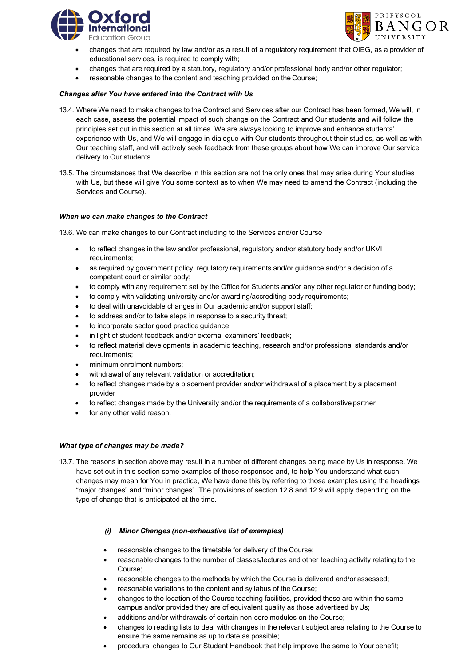



- changes that are required by law and/or as a result of a regulatory requirement that OIEG, as a provider of educational services, is required to comply with;
- changes that are required by a statutory, regulatory and/or professional body and/or other regulator;
- reasonable changes to the content and teaching provided on the Course;

## *Changes after You have entered into the Contract with Us*

- 13.4. Where We need to make changes to the Contract and Services after our Contract has been formed, We will, in each case, assess the potential impact of such change on the Contract and Our students and will follow the principles set out in this section at all times. We are always looking to improve and enhance students' experience with Us, and We will engage in dialogue with Our students throughout their studies, as well as with Our teaching staff, and will actively seek feedback from these groups about how We can improve Our service delivery to Our students.
- 13.5. The circumstances that We describe in this section are not the only ones that may arise during Your studies with Us, but these will give You some context as to when We may need to amend the Contract (including the Services and Course).

### *When we can make changes to the Contract*

13.6. We can make changes to our Contract including to the Services and/or Course

- to reflect changes in the law and/or professional, regulatory and/or statutory body and/or UKVI requirements;
- as required by government policy, regulatory requirements and/or guidance and/or a decision of a competent court or similar body;
- to comply with any requirement set by the Office for Students and/or any other regulator or funding body;
- to comply with validating university and/or awarding/accrediting body requirements;
- to deal with unavoidable changes in Our academic and/or support staff;
- to address and/or to take steps in response to a security threat;
- to incorporate sector good practice guidance;
- in light of student feedback and/or external examiners' feedback;
- to reflect material developments in academic teaching, research and/or professional standards and/or requirements;
- minimum enrolment numbers;
- withdrawal of any relevant validation or accreditation;
- to reflect changes made by a placement provider and/or withdrawal of a placement by a placement provider
- to reflect changes made by the University and/or the requirements of a collaborative partner
- for any other valid reason.

## *What type of changes may be made?*

13.7. The reasons in section above may result in a number of different changes being made by Us in response. We have set out in this section some examples of these responses and, to help You understand what such changes may mean for You in practice, We have done this by referring to those examples using the headings "major changes" and "minor changes". The provisions of section 12.8 and 12.9 will apply depending on the type of change that is anticipated at the time.

## *(i) Minor Changes (non-exhaustive list of examples)*

- reasonable changes to the timetable for delivery of the Course;
- reasonable changes to the number of classes/lectures and other teaching activity relating to the Course;
- reasonable changes to the methods by which the Course is delivered and/or assessed;
- reasonable variations to the content and syllabus of the Course;
- changes to the location of the Course teaching facilities, provided these are within the same campus and/or provided they are of equivalent quality as those advertised by Us;
- additions and/or withdrawals of certain non-core modules on the Course;
- changes to reading lists to deal with changes in the relevant subject area relating to the Course to ensure the same remains as up to date as possible;
- procedural changes to Our Student Handbook that help improve the same to Your benefit;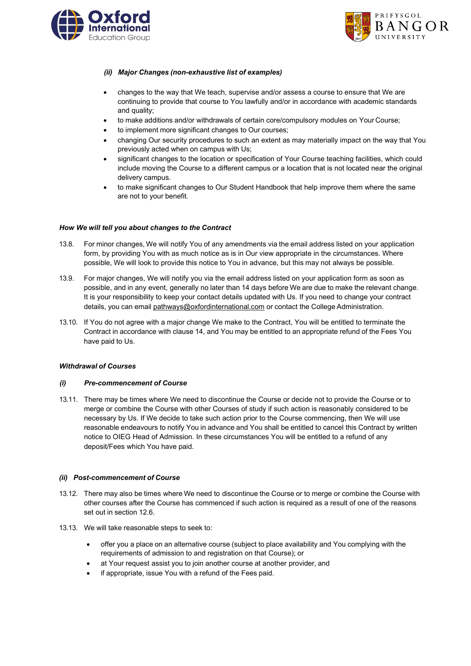



## *(ii) Major Changes (non-exhaustive list of examples)*

- changes to the way that We teach, supervise and/or assess a course to ensure that We are continuing to provide that course to You lawfully and/or in accordance with academic standards and quality;
- to make additions and/or withdrawals of certain core/compulsory modules on Your Course;
- to implement more significant changes to Our courses;
- changing Our security procedures to such an extent as may materially impact on the way that You previously acted when on campus with Us;
- significant changes to the location or specification of Your Course teaching facilities, which could include moving the Course to a different campus or a location that is not located near the original delivery campus.
- to make significant changes to Our Student Handbook that help improve them where the same are not to your benefit.

### *How We will tell you about changes to the Contract*

- 13.8. For minor changes, We will notify You of any amendments via the email address listed on your application form, by providing You with as much notice as is in Our view appropriate in the circumstances. Where possible, We will look to provide this notice to You in advance, but this may not always be possible.
- 13.9. For major changes, We will notify you via the email address listed on your application form as soon as possible, and in any event, generally no later than 14 days before We are due to make the relevant change. It is your responsibility to keep your contact details updated with Us. If you need to change your contract details, you can email [pathways@oxfordinternational.com](mailto:pathways@oxfordinternational.com) or contact the College Administration.
- 13.10. If You do not agree with a major change We make to the Contract, You will be entitled to terminate the Contract in accordance with clause 14, and You may be entitled to an appropriate refund of the Fees You have paid to Us.

## *Withdrawal of Courses*

#### *(i) Pre-commencement of Course*

13.11. There may be times where We need to discontinue the Course or decide not to provide the Course or to merge or combine the Course with other Courses of study if such action is reasonably considered to be necessary by Us. If We decide to take such action prior to the Course commencing, then We will use reasonable endeavours to notify You in advance and You shall be entitled to cancel this Contract by written notice to OIEG Head of Admission. In these circumstances You will be entitled to a refund of any deposit/Fees which You have paid.

## *(ii) Post-commencement of Course*

- 13.12. There may also be times where We need to discontinue the Course or to merge or combine the Course with other courses after the Course has commenced if such action is required as a result of one of the reasons set out in section 12.6.
- 13.13. We will take reasonable steps to seek to:
	- offer you a place on an alternative course (subject to place availability and You complying with the requirements of admission to and registration on that Course); or
	- at Your request assist you to join another course at another provider, and
	- if appropriate, issue You with a refund of the Fees paid.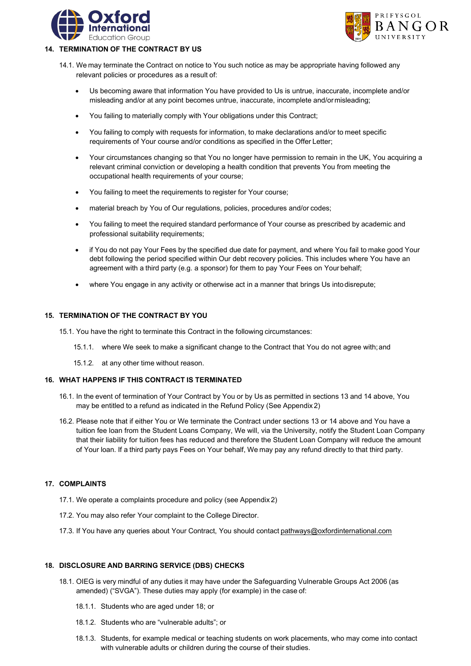



# **14. TERMINATION OF THE CONTRACT BY US**

- 14.1. We may terminate the Contract on notice to You such notice as may be appropriate having followed any relevant policies or procedures as a result of:
	- Us becoming aware that information You have provided to Us is untrue, inaccurate, incomplete and/or misleading and/or at any point becomes untrue, inaccurate, incomplete and/ormisleading;
	- You failing to materially comply with Your obligations under this Contract;
	- You failing to comply with requests for information, to make declarations and/or to meet specific requirements of Your course and/or conditions as specified in the Offer Letter;
	- Your circumstances changing so that You no longer have permission to remain in the UK, You acquiring a relevant criminal conviction or developing a health condition that prevents You from meeting the occupational health requirements of your course;
	- You failing to meet the requirements to register for Your course;
	- material breach by You of Our regulations, policies, procedures and/or codes;
	- You failing to meet the required standard performance of Your course as prescribed by academic and professional suitability requirements;
	- if You do not pay Your Fees by the specified due date for payment, and where You fail to make good Your debt following the period specified within Our debt recovery policies. This includes where You have an agreement with a third party (e.g. a sponsor) for them to pay Your Fees on Your behalf;
	- where You engage in any activity or otherwise act in a manner that brings Us into disrepute;

### **15. TERMINATION OF THE CONTRACT BY YOU**

- 15.1. You have the right to terminate this Contract in the following circumstances:
	- 15.1.1. where We seek to make a significant change to the Contract that You do not agree with;and
	- 15.1.2. at any other time without reason.

### **16. WHAT HAPPENS IF THIS CONTRACT IS TERMINATED**

- 16.1. In the event of termination of Your Contract by You or by Us as permitted in sections 13 and 14 above, You may be entitled to a refund as indicated in the Refund Policy (See Appendix 2)
- 16.2. Please note that if either You or We terminate the Contract under sections 13 or 14 above and You have a tuition fee loan from the Student Loans Company, We will, via the University, notify the Student Loan Company that their liability for tuition fees has reduced and therefore the Student Loan Company will reduce the amount of Your loan. If a third party pays Fees on Your behalf, We may pay any refund directly to that third party.

#### **17. COMPLAINTS**

- 17.1. We operate a complaints procedure and policy (see Appendix 2)
- 17.2. You may also refer Your complaint to the College Director.
- 17.3. If You have any queries about Your Contract, You should contact [pathways@oxfordinternational.com](mailto:pathways@oxfordinternational.com)

## **18. DISCLOSURE AND BARRING SERVICE (DBS) CHECKS**

- 18.1. OIEG is very mindful of any duties it may have under the Safeguarding Vulnerable Groups Act 2006 (as amended) ("SVGA"). These duties may apply (for example) in the case of:
	- 18.1.1. Students who are aged under 18; or
	- 18.1.2. Students who are "vulnerable adults"; or
	- 18.1.3. Students, for example medical or teaching students on work placements, who may come into contact with vulnerable adults or children during the course of their studies.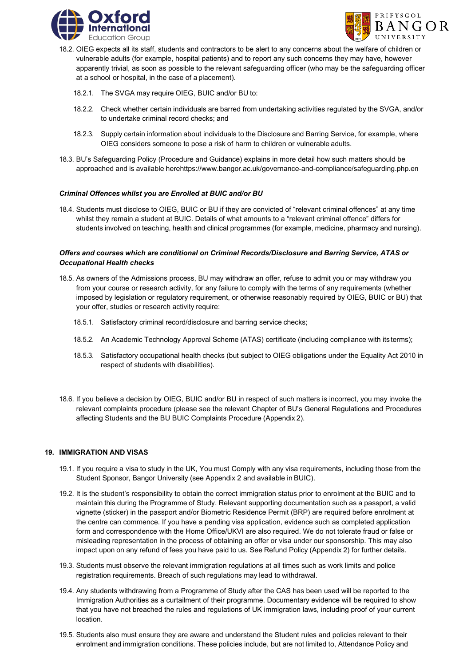



- 18.2. OIEG expects all its staff, students and contractors to be alert to any concerns about the welfare of children or vulnerable adults (for example, hospital patients) and to report any such concerns they may have, however apparently trivial, as soon as possible to the relevant safeguarding officer (who may be the safeguarding officer at a school or hospital, in the case of a placement).
	- 18.2.1. The SVGA may require OIEG, BUIC and/or BU to:
	- 18.2.2. Check whether certain individuals are barred from undertaking activities regulated by the SVGA, and/or to undertake criminal record checks; and
	- 18.2.3. Supply certain information about individuals to the Disclosure and Barring Service, for example, where OIEG considers someone to pose a risk of harm to children or vulnerable adults.
- 18.3. BU's Safeguarding Policy (Procedure and Guidance) explains in more detail how such matters should be approached and is available [here](http://www.dmu.ac.uk/documents/dmu-staff/pod/safeguarding/dmu-safeguarding-policy.pdf)<https://www.bangor.ac.uk/governance-and-compliance/safeguarding.php.en>

### *Criminal Offences whilst you are Enrolled at BUIC and/or BU*

18.4. Students must disclose to OIEG, BUIC or BU if they are convicted of "relevant criminal offences" at any time whilst they remain a student at BUIC. Details of what amounts to a "relevant criminal offence" differs for students involved on teaching, health and clinical programmes (for example, medicine, pharmacy and nursing).

## *Offers and courses which are conditional on Criminal Records/Disclosure and Barring Service, ATAS or Occupational Health checks*

- 18.5. As owners of the Admissions process, BU may withdraw an offer, refuse to admit you or may withdraw you from your course or research activity, for any failure to comply with the terms of any requirements (whether imposed by legislation or regulatory requirement, or otherwise reasonably required by OIEG, BUIC or BU) that your offer, studies or research activity require:
	- 18.5.1. Satisfactory criminal record/disclosure and barring service checks;
	- 18.5.2. An Academic Technology Approval Scheme (ATAS) certificate (including compliance with its terms);
	- 18.5.3. Satisfactory occupational health checks (but subject to OIEG obligations under the Equality Act 2010 in respect of students with disabilities).
- 18.6. If you believe a decision by OIEG, BUIC and/or BU in respect of such matters is incorrect, you may invoke the relevant complaints procedure (please see the relevant Chapter of BU's General Regulations and Procedures affecting Students and the BU BUIC Complaints Procedure (Appendix 2).

#### **19. IMMIGRATION AND VISAS**

- 19.1. If you require a visa to study in the UK, You must Comply with any visa requirements, including those from the Student Sponsor, Bangor University (see Appendix 2 and available in BUIC).
- 19.2. It is the student's responsibility to obtain the correct immigration status prior to enrolment at the BUIC and to maintain this during the Programme of Study. Relevant supporting documentation such as a passport, a valid vignette (sticker) in the passport and/or Biometric Residence Permit (BRP) are required before enrolment at the centre can commence. If you have a pending visa application, evidence such as completed application form and correspondence with the Home Office/UKVI are also required. We do not tolerate fraud or false or misleading representation in the process of obtaining an offer or visa under our sponsorship. This may also impact upon on any refund of fees you have paid to us. See Refund Policy (Appendix 2) for further details.
- 19.3. Students must observe the relevant immigration regulations at all times such as work limits and police registration requirements. Breach of such regulations may lead to withdrawal.
- 19.4. Any students withdrawing from a Programme of Study after the CAS has been used will be reported to the Immigration Authorities as a curtailment of their programme. Documentary evidence will be required to show that you have not breached the rules and regulations of UK immigration laws, including proof of your current location.
- 19.5. Students also must ensure they are aware and understand the Student rules and policies relevant to their enrolment and immigration conditions. These policies include, but are not limited to, Attendance Policy and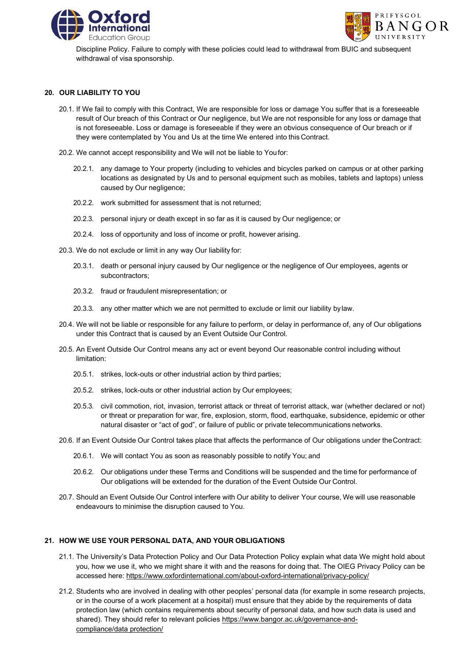



Discipline Policy. Failure to comply with these policies could lead to withdrawal from BUIC and subsequent withdrawal of visa sponsorship.

## **20. OUR LIABILITY TO YOU**

- 20.1. If We fail to comply with this Contract, We are responsible for loss or damage You suffer that is a foreseeable result of Our breach of this Contract or Our negligence, but We are not responsible for any loss or damage that is not foreseeable. Loss or damage is foreseeable if they were an obvious consequence of Our breach or if they were contemplated by You and Us at the time We entered into this Contract.
- 20.2. We cannot accept responsibility and We will not be liable to Youfor:
	- 20.2.1. any damage to Your property (including to vehicles and bicycles parked on campus or at other parking locations as designated by Us and to personal equipment such as mobiles, tablets and laptops) unless caused by Our negligence;
	- 20.2.2. work submitted for assessment that is not returned;
	- 20.2.3. personal injury or death except in so far as it is caused by Our negligence; or
	- 20.2.4. loss of opportunity and loss of income or profit, however arising.
- 20.3. We do not exclude or limit in any way Our liability for:
	- 20.3.1. death or personal injury caused by Our negligence or the negligence of Our employees, agents or subcontractors;
	- 20.3.2. fraud or fraudulent misrepresentation; or
	- 20.3.3. any other matter which we are not permitted to exclude or limit our liability by law.
- 20.4. We will not be liable or responsible for any failure to perform, or delay in performance of, any of Our obligations under this Contract that is caused by an Event Outside Our Control.
- 20.5. An Event Outside Our Control means any act or event beyond Our reasonable control including without limitation:
	- 20.5.1. strikes, lock-outs or other industrial action by third parties;
	- 20.5.2. strikes, lock-outs or other industrial action by Our employees;
	- 20.5.3. civil commotion, riot, invasion, terrorist attack or threat of terrorist attack, war (whether declared or not) or threat or preparation for war, fire, explosion, storm, flood, earthquake, subsidence, epidemic or other natural disaster or "act of god", or failure of public or private telecommunications networks.
- 20.6. If an Event Outside Our Control takes place that affects the performance of Our obligations under theContract:
	- 20.6.1. We will contact You as soon as reasonably possible to notify You; and
	- 20.6.2. Our obligations under these Terms and Conditions will be suspended and the time for performance of Our obligations will be extended for the duration of the Event Outside Our Control.
- 20.7. Should an Event Outside Our Control interfere with Our ability to deliver Your course, We will use reasonable endeavours to minimise the disruption caused to You.

## **21. HOW WE USE YOUR PERSONAL DATA, AND YOUR OBLIGATIONS**

- 21.1. The University's Data Protection Policy and Our Data Protection Policy explain what data We might hold about you, how we use it, who we might share it with and the reasons for doing that. The OIEG Privacy Policy can be accessed here: <https://www.oxfordinternational.com/about-oxford-international/privacy-policy/>
- 21.2. Students who are involved in dealing with other peoples' personal data (for example in some research projects, or in the course of a work placement at a hospital) must ensure that they abide by the requirements of data protection law (which contains requirements about security of personal data, and how such data is used and shared). They should refer to relevant policies [https://www.bangor.ac.uk/governance-and](https://www.bangor.ac.uk/governance-and-compliance/dataprotection/)[compliance/data protection/](https://www.bangor.ac.uk/governance-and-compliance/dataprotection/)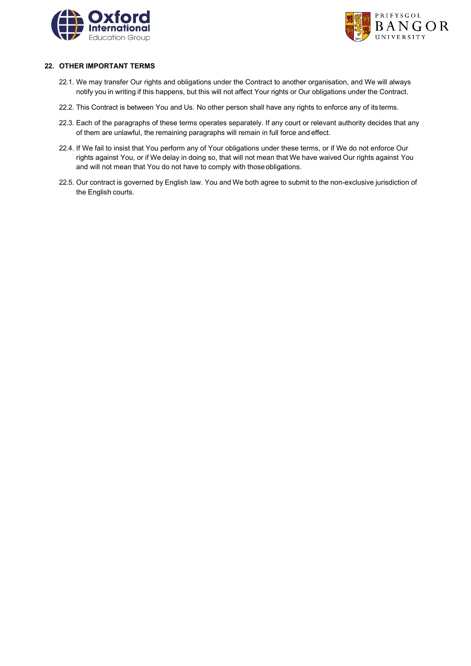



## **22. OTHER IMPORTANT TERMS**

- 22.1. We may transfer Our rights and obligations under the Contract to another organisation, and We will always notify you in writing if this happens, but this will not affect Your rights or Our obligations under the Contract.
- 22.2. This Contract is between You and Us. No other person shall have any rights to enforce any of its terms.
- 22.3. Each of the paragraphs of these terms operates separately. If any court or relevant authority decides that any of them are unlawful, the remaining paragraphs will remain in full force and effect.
- 22.4. If We fail to insist that You perform any of Your obligations under these terms, or if We do not enforce Our rights against You, or if We delay in doing so, that will not mean that We have waived Our rights against You and will not mean that You do not have to comply with thoseobligations.
- 22.5. Our contract is governed by English law. You and We both agree to submit to the non-exclusive jurisdiction of the English courts.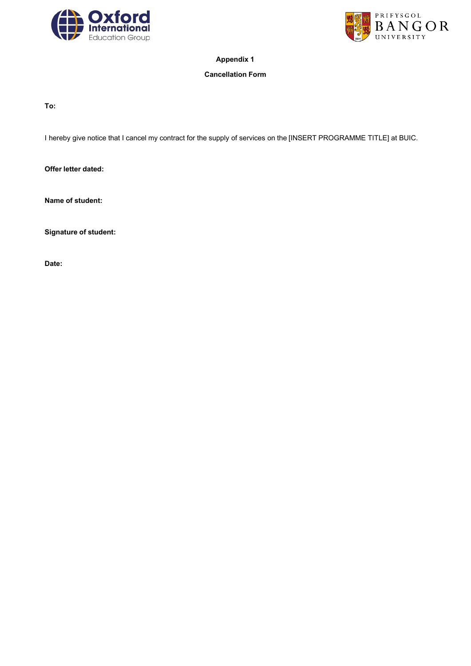



# **Appendix 1**

# **Cancellation Form**

**To:**

I hereby give notice that I cancel my contract for the supply of services on the [INSERT PROGRAMME TITLE] at BUIC.

**Offer letter dated:**

**Name of student:**

**Signature of student:**

**Date:**